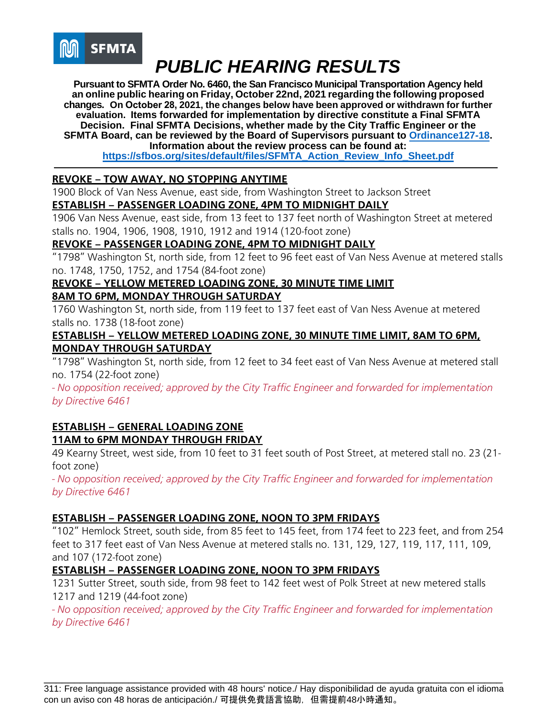

**Pursuant to SFMTA Order No. 6460, the San Francisco Municipal Transportation Agency held an online public hearing on Friday, October 22nd, 2021 regarding the following proposed changes. On October 28, 2021, the changes below have been approved or withdrawn for further evaluation. Items forwarded for implementation by directive constitute a Final SFMTA Decision. Final SFMTA Decisions, whether made by the City Traffic Engineer or the SFMTA Board, can be reviewed by the Board of Supervisors pursuant t[o Ordinance127-18.](https://sfbos.org/sites/default/files/o0127-18.pdf) Information about the review process can be found at:** 

**[https://sfbos.org/sites/default/files/SFMTA\\_Action\\_Review\\_Info\\_Sheet.pdf](https://sfbos.org/sites/default/files/SFMTA_Action_Review_Info_Sheet.pdf)**

#### **REVOKE – TOW AWAY, NO STOPPING ANYTIME**

1900 Block of Van Ness Avenue, east side, from Washington Street to Jackson Street **ESTABLISH – PASSENGER LOADING ZONE, 4PM TO MIDNIGHT DAILY** 

1906 Van Ness Avenue, east side, from 13 feet to 137 feet north of Washington Street at metered stalls no. 1904, 1906, 1908, 1910, 1912 and 1914 (120-foot zone)

#### **REVOKE – PASSENGER LOADING ZONE, 4PM TO MIDNIGHT DAILY**

"1798" Washington St, north side, from 12 feet to 96 feet east of Van Ness Avenue at metered stalls no. 1748, 1750, 1752, and 1754 (84-foot zone)

#### **REVOKE – YELLOW METERED LOADING ZONE, 30 MINUTE TIME LIMIT**

#### **8AM TO 6PM, MONDAY THROUGH SATURDAY**

1760 Washington St, north side, from 119 feet to 137 feet east of Van Ness Avenue at metered stalls no. 1738 (18-foot zone)

#### **ESTABLISH – YELLOW METERED LOADING ZONE, 30 MINUTE TIME LIMIT, 8AM TO 6PM, MONDAY THROUGH SATURDAY**

"1798" Washington St, north side, from 12 feet to 34 feet east of Van Ness Avenue at metered stall no. 1754 (22-foot zone)

*- No opposition received; approved by the City Traffic Engineer and forwarded for implementation by Directive 6461*

## **ESTABLISH – GENERAL LOADING ZONE 11AM to 6PM MONDAY THROUGH FRIDAY**

49 Kearny Street, west side, from 10 feet to 31 feet south of Post Street, at metered stall no. 23 (21 foot zone)

*- No opposition received; approved by the City Traffic Engineer and forwarded for implementation by Directive 6461*

#### **ESTABLISH – PASSENGER LOADING ZONE, NOON TO 3PM FRIDAYS**

"102" Hemlock Street, south side, from 85 feet to 145 feet, from 174 feet to 223 feet, and from 254 feet to 317 feet east of Van Ness Avenue at metered stalls no. 131, 129, 127, 119, 117, 111, 109, and 107 (172-foot zone)

#### **ESTABLISH – PASSENGER LOADING ZONE, NOON TO 3PM FRIDAYS**

1231 Sutter Street, south side, from 98 feet to 142 feet west of Polk Street at new metered stalls 1217 and 1219 (44-foot zone)

*- No opposition received; approved by the City Traffic Engineer and forwarded for implementation by Directive 6461*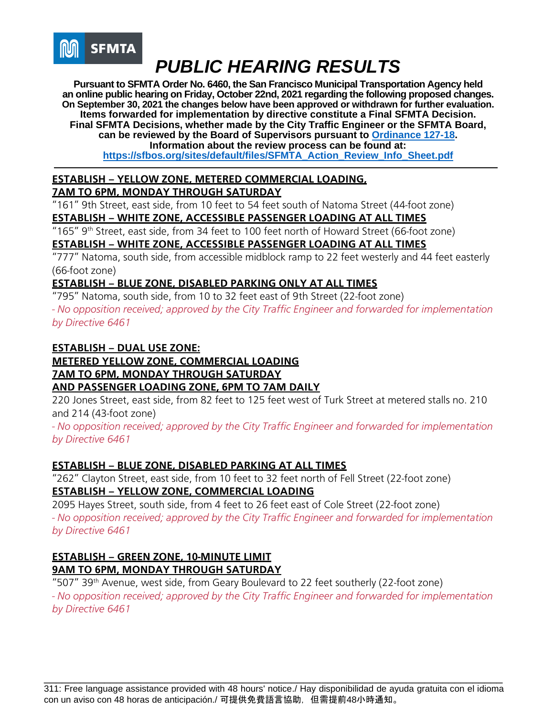

**Pursuant to SFMTA Order No. 6460, the San Francisco Municipal Transportation Agency held an online public hearing on Friday, October 22nd, 2021 regarding the following proposed changes. On September 30, 2021 the changes below have been approved or withdrawn for further evaluation. Items forwarded for implementation by directive constitute a Final SFMTA Decision. Final SFMTA Decisions, whether made by the City Traffic Engineer or the SFMTA Board, can be reviewed by the Board of Supervisors pursuant to [Ordinance 127-18.](https://sfbos.org/sites/default/files/o0127-18.pdf) Information about the review process can be found at: [https://sfbos.org/sites/default/files/SFMTA\\_Action\\_Review\\_Info\\_Sheet.pdf](https://sfbos.org/sites/default/files/SFMTA_Action_Review_Info_Sheet.pdf)**

## **ESTABLISH – YELLOW ZONE, METERED COMMERCIAL LOADING,**

**7AM TO 6PM, MONDAY THROUGH SATURDAY**

"161" 9th Street, east side, from 10 feet to 54 feet south of Natoma Street (44-foot zone)

#### **ESTABLISH – WHITE ZONE, ACCESSIBLE PASSENGER LOADING AT ALL TIMES**

"165" 9th Street, east side, from 34 feet to 100 feet north of Howard Street (66-foot zone) **ESTABLISH – WHITE ZONE, ACCESSIBLE PASSENGER LOADING AT ALL TIMES**

"777" Natoma, south side, from accessible midblock ramp to 22 feet westerly and 44 feet easterly (66-foot zone)

#### **ESTABLISH – BLUE ZONE, DISABLED PARKING ONLY AT ALL TIMES**

"795" Natoma, south side, from 10 to 32 feet east of 9th Street (22-foot zone) *- No opposition received; approved by the City Traffic Engineer and forwarded for implementation by Directive 6461*

#### **ESTABLISH – DUAL USE ZONE: METERED YELLOW ZONE, COMMERCIAL LOADING 7AM TO 6PM, MONDAY THROUGH SATURDAY AND PASSENGER LOADING ZONE, 6PM TO 7AM DAILY**

220 Jones Street, east side, from 82 feet to 125 feet west of Turk Street at metered stalls no. 210 and 214 (43-foot zone)

*- No opposition received; approved by the City Traffic Engineer and forwarded for implementation by Directive 6461*

## **ESTABLISH – BLUE ZONE, DISABLED PARKING AT ALL TIMES**

"262" Clayton Street, east side, from 10 feet to 32 feet north of Fell Street (22-foot zone) **ESTABLISH – YELLOW ZONE, COMMERCIAL LOADING**

2095 Hayes Street, south side, from 4 feet to 26 feet east of Cole Street (22-foot zone) *- No opposition received; approved by the City Traffic Engineer and forwarded for implementation by Directive 6461*

#### **ESTABLISH – GREEN ZONE, 10-MINUTE LIMIT 9AM TO 6PM, MONDAY THROUGH SATURDAY**

"507" 39<sup>th</sup> Avenue, west side, from Geary Boulevard to 22 feet southerly (22-foot zone) *- No opposition received; approved by the City Traffic Engineer and forwarded for implementation by Directive 6461*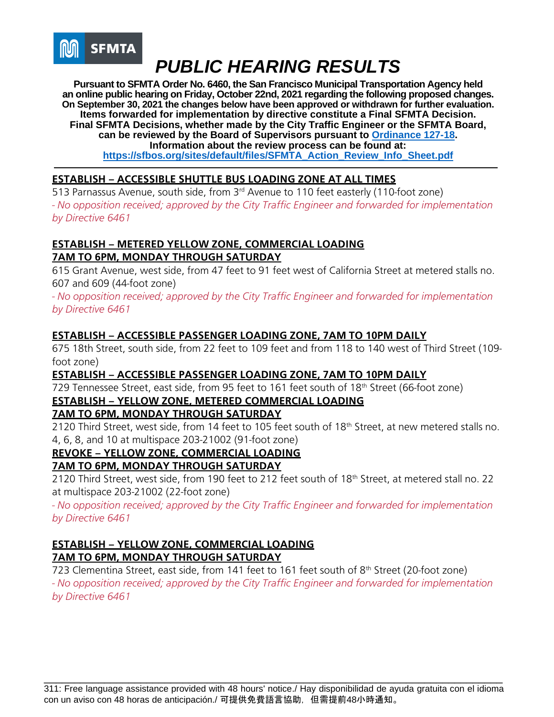

**Pursuant to SFMTA Order No. 6460, the San Francisco Municipal Transportation Agency held an online public hearing on Friday, October 22nd, 2021 regarding the following proposed changes. On September 30, 2021 the changes below have been approved or withdrawn for further evaluation. Items forwarded for implementation by directive constitute a Final SFMTA Decision. Final SFMTA Decisions, whether made by the City Traffic Engineer or the SFMTA Board, can be reviewed by the Board of Supervisors pursuant to [Ordinance 127-18.](https://sfbos.org/sites/default/files/o0127-18.pdf) Information about the review process can be found at: [https://sfbos.org/sites/default/files/SFMTA\\_Action\\_Review\\_Info\\_Sheet.pdf](https://sfbos.org/sites/default/files/SFMTA_Action_Review_Info_Sheet.pdf)**

## **ESTABLISH – ACCESSIBLE SHUTTLE BUS LOADING ZONE AT ALL TIMES**

513 Parnassus Avenue, south side, from 3<sup>rd</sup> Avenue to 110 feet easterly (110-foot zone) *- No opposition received; approved by the City Traffic Engineer and forwarded for implementation by Directive 6461*

## **ESTABLISH – METERED YELLOW ZONE, COMMERCIAL LOADING 7AM TO 6PM, MONDAY THROUGH SATURDAY**

615 Grant Avenue, west side, from 47 feet to 91 feet west of California Street at metered stalls no. 607 and 609 (44-foot zone)

*- No opposition received; approved by the City Traffic Engineer and forwarded for implementation by Directive 6461*

#### **ESTABLISH – ACCESSIBLE PASSENGER LOADING ZONE, 7AM TO 10PM DAILY**

675 18th Street, south side, from 22 feet to 109 feet and from 118 to 140 west of Third Street (109 foot zone)

#### **ESTABLISH – ACCESSIBLE PASSENGER LOADING ZONE, 7AM TO 10PM DAILY**

729 Tennessee Street, east side, from 95 feet to 161 feet south of 18<sup>th</sup> Street (66-foot zone)

## **ESTABLISH – YELLOW ZONE, METERED COMMERCIAL LOADING**

#### **7AM TO 6PM, MONDAY THROUGH SATURDAY**

2120 Third Street, west side, from 14 feet to 105 feet south of 18<sup>th</sup> Street, at new metered stalls no. 4, 6, 8, and 10 at multispace 203-21002 (91-foot zone)

## **REVOKE – YELLOW ZONE, COMMERCIAL LOADING**

#### **7AM TO 6PM, MONDAY THROUGH SATURDAY**

2120 Third Street, west side, from 190 feet to 212 feet south of 18<sup>th</sup> Street, at metered stall no. 22 at multispace 203-21002 (22-foot zone)

*- No opposition received; approved by the City Traffic Engineer and forwarded for implementation by Directive 6461*

#### **ESTABLISH – YELLOW ZONE, COMMERCIAL LOADING 7AM TO 6PM, MONDAY THROUGH SATURDAY**

723 Clementina Street, east side, from 141 feet to 161 feet south of 8<sup>th</sup> Street (20-foot zone) *- No opposition received; approved by the City Traffic Engineer and forwarded for implementation by Directive 6461*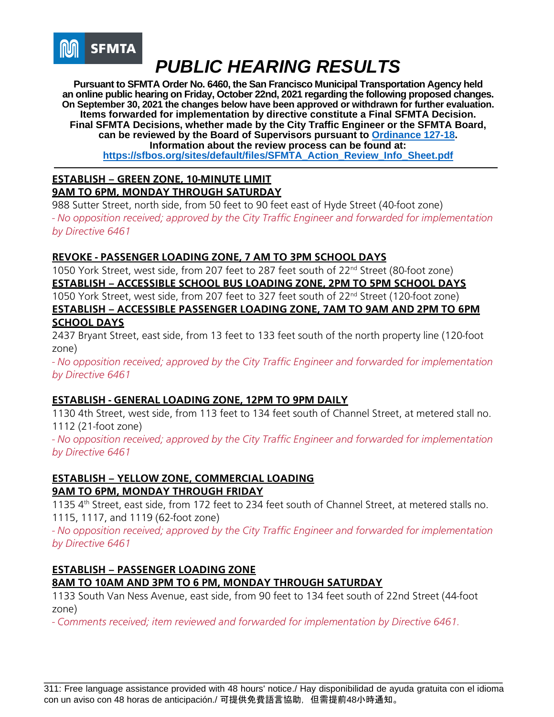

**Pursuant to SFMTA Order No. 6460, the San Francisco Municipal Transportation Agency held an online public hearing on Friday, October 22nd, 2021 regarding the following proposed changes. On September 30, 2021 the changes below have been approved or withdrawn for further evaluation. Items forwarded for implementation by directive constitute a Final SFMTA Decision. Final SFMTA Decisions, whether made by the City Traffic Engineer or the SFMTA Board, can be reviewed by the Board of Supervisors pursuant to [Ordinance 127-18.](https://sfbos.org/sites/default/files/o0127-18.pdf) Information about the review process can be found at: [https://sfbos.org/sites/default/files/SFMTA\\_Action\\_Review\\_Info\\_Sheet.pdf](https://sfbos.org/sites/default/files/SFMTA_Action_Review_Info_Sheet.pdf)**

#### **ESTABLISH – GREEN ZONE, 10-MINUTE LIMIT 9AM TO 6PM, MONDAY THROUGH SATURDAY**

988 Sutter Street, north side, from 50 feet to 90 feet east of Hyde Street (40-foot zone) *- No opposition received; approved by the City Traffic Engineer and forwarded for implementation by Directive 6461*

## **REVOKE - PASSENGER LOADING ZONE, 7 AM TO 3PM SCHOOL DAYS**

1050 York Street, west side, from 207 feet to 287 feet south of 22<sup>nd</sup> Street (80-foot zone) **ESTABLISH – ACCESSIBLE SCHOOL BUS LOADING ZONE, 2PM TO 5PM SCHOOL DAYS** 1050 York Street, west side, from 207 feet to 327 feet south of 22<sup>nd</sup> Street (120-foot zone) **ESTABLISH – ACCESSIBLE PASSENGER LOADING ZONE, 7AM TO 9AM AND 2PM TO 6PM SCHOOL DAYS**

2437 Bryant Street, east side, from 13 feet to 133 feet south of the north property line (120-foot zone)

*- No opposition received; approved by the City Traffic Engineer and forwarded for implementation by Directive 6461*

## **ESTABLISH - GENERAL LOADING ZONE, 12PM TO 9PM DAILY**

1130 4th Street, west side, from 113 feet to 134 feet south of Channel Street, at metered stall no. 1112 (21-foot zone)

*- No opposition received; approved by the City Traffic Engineer and forwarded for implementation by Directive 6461*

## **ESTABLISH – YELLOW ZONE, COMMERCIAL LOADING 9AM TO 6PM, MONDAY THROUGH FRIDAY**

1135 4<sup>th</sup> Street, east side, from 172 feet to 234 feet south of Channel Street, at metered stalls no. 1115, 1117, and 1119 (62-foot zone)

*- No opposition received; approved by the City Traffic Engineer and forwarded for implementation by Directive 6461*

## **ESTABLISH – PASSENGER LOADING ZONE 8AM TO 10AM AND 3PM TO 6 PM, MONDAY THROUGH SATURDAY**

1133 South Van Ness Avenue, east side, from 90 feet to 134 feet south of 22nd Street (44-foot zone)

*- Comments received; item reviewed and forwarded for implementation by Directive 6461.*